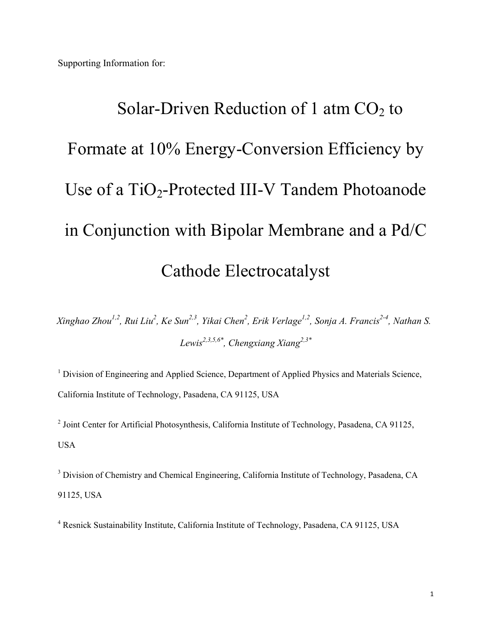# Solar-Driven Reduction of 1 atm  $CO<sub>2</sub>$  to Formate at 10% Energy-Conversion Efficiency by Use of a  $TiO<sub>2</sub>$ -Protected III-V Tandem Photoanode in Conjunction with Bipolar Membrane and a Pd/C Cathode Electrocatalyst

*Xinghao Zhou1,2, Rui Liu<sup>2</sup> , Ke Sun2,3, Yikai Chen<sup>2</sup> , Erik Verlage1,2, Sonja A. Francis2-4, Nathan S. Lewis2,3,5,6\*, Chengxiang Xiang2,3\**

<sup>1</sup> Division of Engineering and Applied Science, Department of Applied Physics and Materials Science, California Institute of Technology, Pasadena, CA 91125, USA

<sup>2</sup> Joint Center for Artificial Photosynthesis, California Institute of Technology, Pasadena, CA 91125, USA

<sup>3</sup> Division of Chemistry and Chemical Engineering, California Institute of Technology, Pasadena, CA 91125, USA

<sup>4</sup> Resnick Sustainability Institute, California Institute of Technology, Pasadena, CA 91125, USA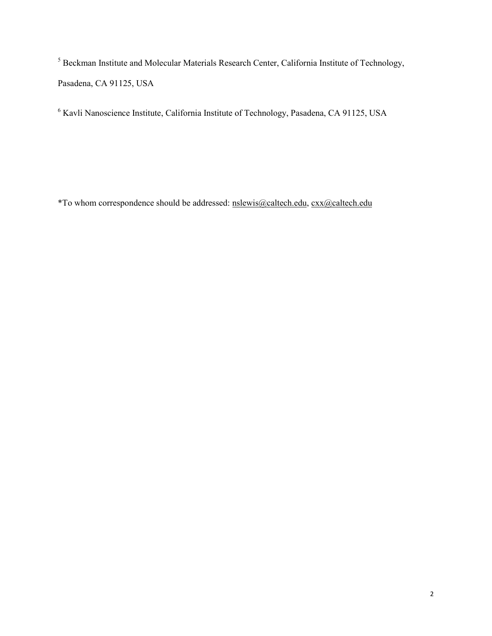<sup>5</sup> Beckman Institute and Molecular Materials Research Center, California Institute of Technology, Pasadena, CA 91125, USA

<sup>6</sup> Kavli Nanoscience Institute, California Institute of Technology, Pasadena, CA 91125, USA

\*To whom correspondence should be addressed: nslewis@caltech.edu, cxx@caltech.edu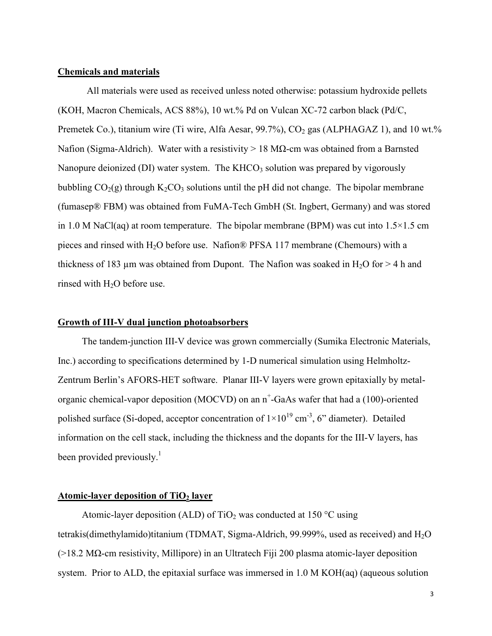#### **Chemicals and materials**

All materials were used as received unless noted otherwise: potassium hydroxide pellets (KOH, Macron Chemicals, ACS 88%), 10 wt.% Pd on Vulcan XC-72 carbon black (Pd/C, Premetek Co.), titanium wire (Ti wire, Alfa Aesar,  $99.7\%$ ), CO<sub>2</sub> gas (ALPHAGAZ 1), and 10 wt.% Nafion (Sigma-Aldrich). Water with a resistivity > 18 MΩ-cm was obtained from a Barnsted Nanopure deionized (DI) water system. The KHCO<sub>3</sub> solution was prepared by vigorously bubbling  $CO<sub>2</sub>(g)$  through K<sub>2</sub>CO<sub>3</sub> solutions until the pH did not change. The bipolar membrane (fumasep® FBM) was obtained from FuMA-Tech GmbH (St. Ingbert, Germany) and was stored in 1.0 M NaCl(aq) at room temperature. The bipolar membrane (BPM) was cut into  $1.5 \times 1.5$  cm pieces and rinsed with H2O before use. Nafion® PFSA 117 membrane (Chemours) with a thickness of 183  $\mu$ m was obtained from Dupont. The Nafion was soaked in H<sub>2</sub>O for > 4 h and rinsed with  $H<sub>2</sub>O$  before use.

#### **Growth of III-V dual junction photoabsorbers**

 The tandem-junction III-V device was grown commercially (Sumika Electronic Materials, Inc.) according to specifications determined by 1-D numerical simulation using Helmholtz-Zentrum Berlin's AFORS-HET software. Planar III-V layers were grown epitaxially by metalorganic chemical-vapor deposition (MOCVD) on an n<sup>+</sup>-GaAs wafer that had a (100)-oriented polished surface (Si-doped, acceptor concentration of  $1\times10^{19}$  cm<sup>-3</sup>, 6" diameter). Detailed information on the cell stack, including the thickness and the dopants for the III-V layers, has been provided previously.<sup>1</sup>

#### **Atomic-layer deposition of TiO2 layer**

Atomic-layer deposition (ALD) of  $TiO<sub>2</sub>$  was conducted at 150 °C using tetrakis(dimethylamido)titanium (TDMAT, Sigma-Aldrich, 99.999%, used as received) and H2O (>18.2 MΩ-cm resistivity, Millipore) in an Ultratech Fiji 200 plasma atomic-layer deposition system. Prior to ALD, the epitaxial surface was immersed in 1.0 M KOH(aq) (aqueous solution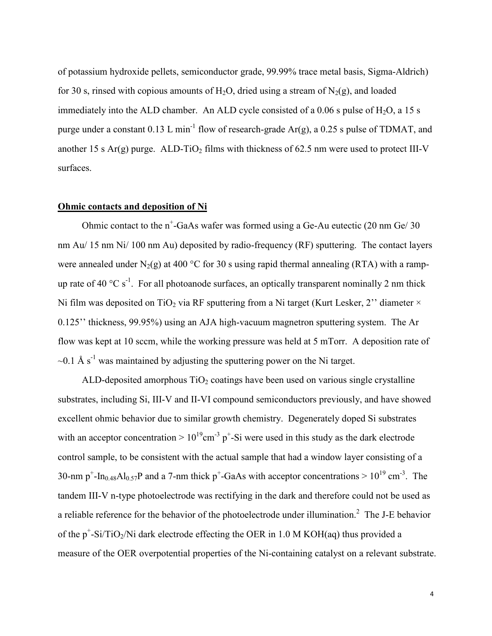of potassium hydroxide pellets, semiconductor grade, 99.99% trace metal basis, Sigma-Aldrich) for 30 s, rinsed with copious amounts of H<sub>2</sub>O, dried using a stream of N<sub>2</sub>(g), and loaded immediately into the ALD chamber. An ALD cycle consisted of a  $0.06$  s pulse of H<sub>2</sub>O, a 15 s purge under a constant  $0.13$  L min<sup>-1</sup> flow of research-grade Ar(g), a 0.25 s pulse of TDMAT, and another 15 s Ar(g) purge. ALD-TiO<sub>2</sub> films with thickness of 62.5 nm were used to protect III-V surfaces.

#### **Ohmic contacts and deposition of Ni**

Ohmic contact to the  $n^+$ -GaAs wafer was formed using a Ge-Au eutectic (20 nm Ge/ 30) nm Au/ 15 nm Ni/ 100 nm Au) deposited by radio-frequency (RF) sputtering. The contact layers were annealed under N<sub>2</sub>(g) at 400 °C for 30 s using rapid thermal annealing (RTA) with a rampup rate of 40  $^{\circ}$ C s<sup>-1</sup>. For all photoanode surfaces, an optically transparent nominally 2 nm thick Ni film was deposited on TiO<sub>2</sub> via RF sputtering from a Ni target (Kurt Lesker, 2" diameter  $\times$ 0.125'' thickness, 99.95%) using an AJA high-vacuum magnetron sputtering system. The Ar flow was kept at 10 sccm, while the working pressure was held at 5 mTorr. A deposition rate of  $\sim$ 0.1 Å s<sup>-1</sup> was maintained by adjusting the sputtering power on the Ni target.

ALD-deposited amorphous  $TiO<sub>2</sub>$  coatings have been used on various single crystalline substrates, including Si, III-V and II-VI compound semiconductors previously, and have showed excellent ohmic behavior due to similar growth chemistry. Degenerately doped Si substrates with an acceptor concentration  $> 10^{19}$ cm<sup>-3</sup> p<sup>+</sup>-Si were used in this study as the dark electrode control sample, to be consistent with the actual sample that had a window layer consisting of a 30-nm p<sup>+</sup>-In<sub>0.48</sub>Al<sub>0.57</sub>P and a 7-nm thick p<sup>+</sup>-GaAs with acceptor concentrations >  $10^{19}$  cm<sup>-3</sup>. The tandem III-V n-type photoelectrode was rectifying in the dark and therefore could not be used as a reliable reference for the behavior of the photoelectrode under illumination.<sup>2</sup> The J-E behavior of the  $p^+$ -Si/TiO<sub>2</sub>/Ni dark electrode effecting the OER in 1.0 M KOH(aq) thus provided a measure of the OER overpotential properties of the Ni-containing catalyst on a relevant substrate.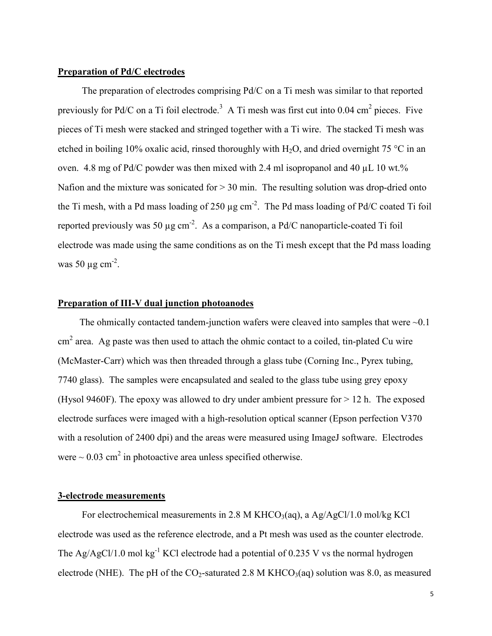#### **Preparation of Pd/C electrodes**

 The preparation of electrodes comprising Pd/C on a Ti mesh was similar to that reported previously for Pd/C on a Ti foil electrode.<sup>3</sup> A Ti mesh was first cut into 0.04 cm<sup>2</sup> pieces. Five pieces of Ti mesh were stacked and stringed together with a Ti wire. The stacked Ti mesh was etched in boiling 10% oxalic acid, rinsed thoroughly with  $H_2O$ , and dried overnight 75 °C in an oven. 4.8 mg of Pd/C powder was then mixed with 2.4 ml isopropanol and 40 µL 10 wt.% Nafion and the mixture was sonicated for  $> 30$  min. The resulting solution was drop-dried onto the Ti mesh, with a Pd mass loading of 250  $\mu$ g cm<sup>-2</sup>. The Pd mass loading of Pd/C coated Ti foil reported previously was 50  $\mu$ g cm<sup>-2</sup>. As a comparison, a Pd/C nanoparticle-coated Ti foil electrode was made using the same conditions as on the Ti mesh except that the Pd mass loading was 50  $\mu$ g cm<sup>-2</sup>.

#### **Preparation of III-V dual junction photoanodes**

The ohmically contacted tandem-junction wafers were cleaved into samples that were  $\sim 0.1$  $\text{cm}^2$  area. Ag paste was then used to attach the ohmic contact to a coiled, tin-plated Cu wire (McMaster-Carr) which was then threaded through a glass tube (Corning Inc., Pyrex tubing, 7740 glass). The samples were encapsulated and sealed to the glass tube using grey epoxy (Hysol 9460F). The epoxy was allowed to dry under ambient pressure for  $> 12$  h. The exposed electrode surfaces were imaged with a high-resolution optical scanner (Epson perfection V370 with a resolution of 2400 dpi) and the areas were measured using ImageJ software. Electrodes were  $\sim 0.03$  cm<sup>2</sup> in photoactive area unless specified otherwise.

#### **3-electrode measurements**

For electrochemical measurements in 2.8 M KHCO<sub>3</sub>(aq), a Ag/AgCl/1.0 mol/kg KCl electrode was used as the reference electrode, and a Pt mesh was used as the counter electrode. The Ag/AgCl/1.0 mol kg<sup>-1</sup> KCl electrode had a potential of 0.235 V vs the normal hydrogen electrode (NHE). The pH of the  $CO_2$ -saturated 2.8 M KHCO<sub>3</sub>(aq) solution was 8.0, as measured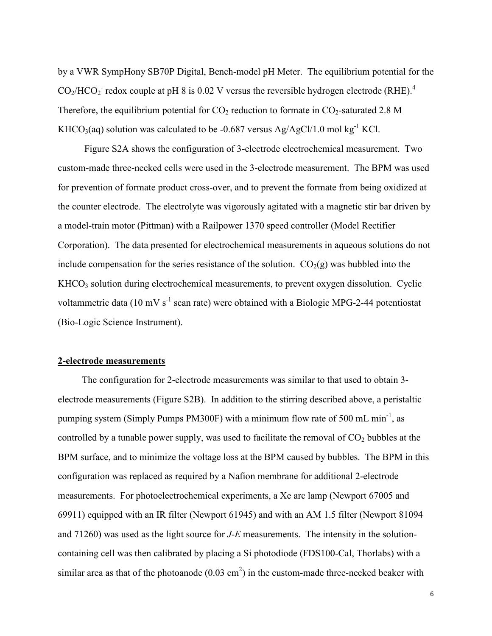by a VWR SympHony SB70P Digital, Bench-model pH Meter. The equilibrium potential for the  $CO<sub>2</sub>/HCO<sub>2</sub>$  redox couple at pH 8 is 0.02 V versus the reversible hydrogen electrode (RHE).<sup>4</sup> Therefore, the equilibrium potential for  $CO_2$  reduction to formate in  $CO_2$ -saturated 2.8 M KHCO<sub>3</sub>(aq) solution was calculated to be -0.687 versus Ag/AgCl/1.0 mol kg<sup>-1</sup> KCl.

 Figure S2A shows the configuration of 3-electrode electrochemical measurement. Two custom-made three-necked cells were used in the 3-electrode measurement. The BPM was used for prevention of formate product cross-over, and to prevent the formate from being oxidized at the counter electrode. The electrolyte was vigorously agitated with a magnetic stir bar driven by a model-train motor (Pittman) with a Railpower 1370 speed controller (Model Rectifier Corporation). The data presented for electrochemical measurements in aqueous solutions do not include compensation for the series resistance of the solution.  $CO<sub>2</sub>(g)$  was bubbled into the KHCO<sub>3</sub> solution during electrochemical measurements, to prevent oxygen dissolution. Cyclic voltammetric data (10 mV  $s^{-1}$  scan rate) were obtained with a Biologic MPG-2-44 potentiostat (Bio-Logic Science Instrument).

#### **2-electrode measurements**

 The configuration for 2-electrode measurements was similar to that used to obtain 3 electrode measurements (Figure S2B). In addition to the stirring described above, a peristaltic pumping system (Simply Pumps PM300F) with a minimum flow rate of 500 mL min<sup>-1</sup>, as controlled by a tunable power supply, was used to facilitate the removal of  $CO<sub>2</sub>$  bubbles at the BPM surface, and to minimize the voltage loss at the BPM caused by bubbles. The BPM in this configuration was replaced as required by a Nafion membrane for additional 2-electrode measurements. For photoelectrochemical experiments, a Xe arc lamp (Newport 67005 and 69911) equipped with an IR filter (Newport 61945) and with an AM 1.5 filter (Newport 81094 and 71260) was used as the light source for *J*-*E* measurements. The intensity in the solutioncontaining cell was then calibrated by placing a Si photodiode (FDS100-Cal, Thorlabs) with a similar area as that of the photoanode  $(0.03 \text{ cm}^2)$  in the custom-made three-necked beaker with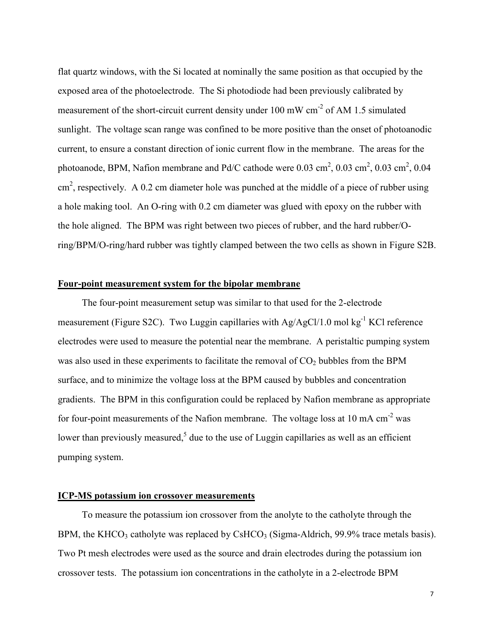flat quartz windows, with the Si located at nominally the same position as that occupied by the exposed area of the photoelectrode. The Si photodiode had been previously calibrated by measurement of the short-circuit current density under 100 mW cm-2 of AM 1.5 simulated sunlight. The voltage scan range was confined to be more positive than the onset of photoanodic current, to ensure a constant direction of ionic current flow in the membrane. The areas for the photoanode, BPM, Nafion membrane and Pd/C cathode were  $0.03 \text{ cm}^2$ ,  $0.03 \text{ cm}^2$ ,  $0.03 \text{ cm}^2$ ,  $0.04 \text{ cm}^2$  $\text{cm}^2$ , respectively. A 0.2 cm diameter hole was punched at the middle of a piece of rubber using a hole making tool. An O-ring with 0.2 cm diameter was glued with epoxy on the rubber with the hole aligned. The BPM was right between two pieces of rubber, and the hard rubber/Oring/BPM/O-ring/hard rubber was tightly clamped between the two cells as shown in Figure S2B.

#### **Four-point measurement system for the bipolar membrane**

 The four-point measurement setup was similar to that used for the 2-electrode measurement (Figure S2C). Two Luggin capillaries with Ag/AgCl/1.0 mol kg<sup>-1</sup> KCl reference electrodes were used to measure the potential near the membrane. A peristaltic pumping system was also used in these experiments to facilitate the removal of  $CO<sub>2</sub>$  bubbles from the BPM surface, and to minimize the voltage loss at the BPM caused by bubbles and concentration gradients. The BPM in this configuration could be replaced by Nafion membrane as appropriate for four-point measurements of the Nafion membrane. The voltage loss at 10 mA  $\text{cm}^{-2}$  was lower than previously measured,<sup>5</sup> due to the use of Luggin capillaries as well as an efficient pumping system.

#### **ICP-MS potassium ion crossover measurements**

 To measure the potassium ion crossover from the anolyte to the catholyte through the BPM, the KHCO<sub>3</sub> catholyte was replaced by CsHCO<sub>3</sub> (Sigma-Aldrich,  $99.9\%$  trace metals basis). Two Pt mesh electrodes were used as the source and drain electrodes during the potassium ion crossover tests. The potassium ion concentrations in the catholyte in a 2-electrode BPM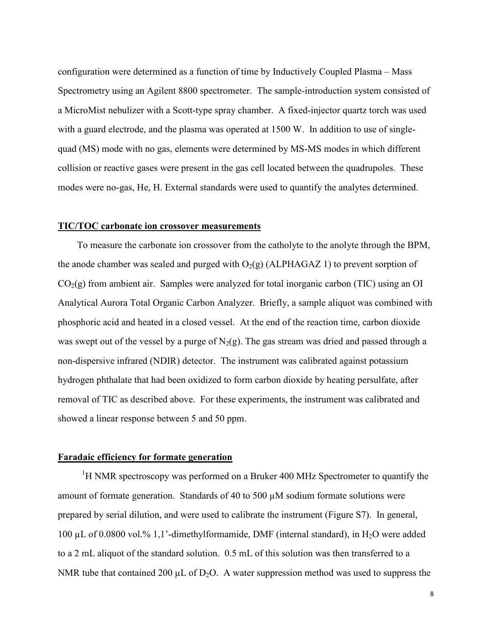configuration were determined as a function of time by Inductively Coupled Plasma – Mass Spectrometry using an Agilent 8800 spectrometer. The sample-introduction system consisted of a MicroMist nebulizer with a Scott-type spray chamber. A fixed-injector quartz torch was used with a guard electrode, and the plasma was operated at 1500 W. In addition to use of singlequad (MS) mode with no gas, elements were determined by MS-MS modes in which different collision or reactive gases were present in the gas cell located between the quadrupoles. These modes were no-gas, He, H. External standards were used to quantify the analytes determined.

#### **TIC/TOC carbonate ion crossover measurements**

 To measure the carbonate ion crossover from the catholyte to the anolyte through the BPM, the anode chamber was sealed and purged with  $O_2(g)$  (ALPHAGAZ 1) to prevent sorption of  $CO<sub>2</sub>(g)$  from ambient air. Samples were analyzed for total inorganic carbon (TIC) using an OI Analytical Aurora Total Organic Carbon Analyzer. Briefly, a sample aliquot was combined with phosphoric acid and heated in a closed vessel. At the end of the reaction time, carbon dioxide was swept out of the vessel by a purge of  $N_2(g)$ . The gas stream was dried and passed through a non-dispersive infrared (NDIR) detector. The instrument was calibrated against potassium hydrogen phthalate that had been oxidized to form carbon dioxide by heating persulfate, after removal of TIC as described above. For these experiments, the instrument was calibrated and showed a linear response between 5 and 50 ppm.

#### **Faradaic efficiency for formate generation**

<sup>1</sup>H NMR spectroscopy was performed on a Bruker 400 MHz Spectrometer to quantify the amount of formate generation. Standards of 40 to 500 µM sodium formate solutions were prepared by serial dilution, and were used to calibrate the instrument (Figure S7). In general, 100 µL of 0.0800 vol.% 1,1'-dimethylformamide, DMF (internal standard), in H2O were added to a 2 mL aliquot of the standard solution. 0.5 mL of this solution was then transferred to a NMR tube that contained 200  $\mu$ L of D<sub>2</sub>O. A water suppression method was used to suppress the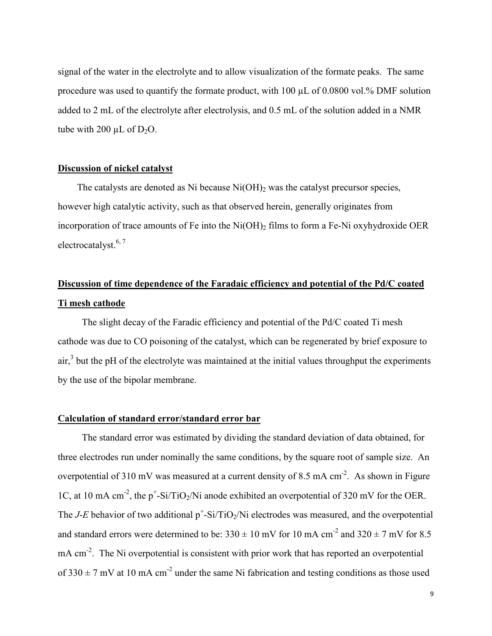signal of the water in the electrolyte and to allow visualization of the formate peaks. The same procedure was used to quantify the formate product, with  $100 \mu L$  of 0.0800 vol.% DMF solution added to 2 mL of the electrolyte after electrolysis, and 0.5 mL of the solution added in a NMR tube with 200  $\mu$ L of D<sub>2</sub>O.

#### **Discussion of nickel catalyst**

The catalysts are denoted as Ni because  $Ni(OH)_2$  was the catalyst precursor species, however high catalytic activity, such as that observed herein, generally originates from incorporation of trace amounts of Fe into the  $Ni(OH)$ <sub>2</sub> films to form a Fe-Ni oxyhydroxide OER electrocatalyst.<sup>6, 7</sup>

# **Discussion of time dependence of the Faradaic efficiency and potential of the Pd/C coated Ti mesh cathode**

 The slight decay of the Faradic efficiency and potential of the Pd/C coated Ti mesh cathode was due to CO poisoning of the catalyst, which can be regenerated by brief exposure to  $air<sub>1</sub><sup>3</sup>$  but the pH of the electrolyte was maintained at the initial values throughput the experiments by the use of the bipolar membrane.

#### **Calculation of standard error/standard error bar**

 The standard error was estimated by dividing the standard deviation of data obtained, for three electrodes run under nominally the same conditions, by the square root of sample size. An overpotential of 310 mV was measured at a current density of 8.5 mA  $cm^{-2}$ . As shown in Figure 1C, at 10 mA cm<sup>-2</sup>, the  $p^+$ -Si/TiO<sub>2</sub>/Ni anode exhibited an overpotential of 320 mV for the OER. The *J-E* behavior of two additional  $p^+$ -Si/TiO<sub>2</sub>/Ni electrodes was measured, and the overpotential and standard errors were determined to be:  $330 \pm 10$  mV for  $10$  mA cm<sup>-2</sup> and  $320 \pm 7$  mV for 8.5 mA cm<sup>-2</sup>. The Ni overpotential is consistent with prior work that has reported an overpotential of  $330 \pm 7$  mV at 10 mA cm<sup>-2</sup> under the same Ni fabrication and testing conditions as those used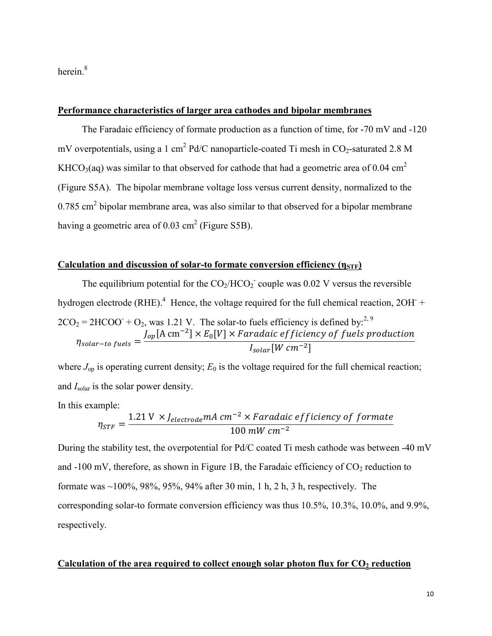herein.<sup>8</sup>

#### **Performance characteristics of larger area cathodes and bipolar membranes**

 The Faradaic efficiency of formate production as a function of time, for -70 mV and -120 mV overpotentials, using a 1 cm<sup>2</sup> Pd/C nanoparticle-coated Ti mesh in  $CO_2$ -saturated 2.8 M KHCO<sub>3</sub>(aq) was similar to that observed for cathode that had a geometric area of 0.04 cm<sup>2</sup> (Figure S5A). The bipolar membrane voltage loss versus current density, normalized to the  $0.785$  cm<sup>2</sup> bipolar membrane area, was also similar to that observed for a bipolar membrane having a geometric area of  $0.03 \text{ cm}^2$  (Figure S5B).

## **Calculation and discussion of solar-to formate conversion efficiency (η STF)**

The equilibrium potential for the  $CO_2/HCO_2$  couple was 0.02 V versus the reversible hydrogen electrode (RHE).<sup>4</sup> Hence, the voltage required for the full chemical reaction,  $2OH +$  $2CO_2 = 2HCOO + O_2$ , was 1.21 V. The solar-to fuels efficiency is defined by:<sup>2, 9</sup>  $\eta_{solar-to\,fuels}=\frac{J_{op}[\text{A cm}^{-2}]\times E_0[V]\times Faradaic\,efficiency\,of\,fuels\,production}{I_{M\,cm^{-2}1}}$  $I_{solar}[W \, cm^{-2}]$ 

where  $J_{\text{on}}$  is operating current density;  $E_0$  is the voltage required for the full chemical reaction; and *I*<sub>solar</sub> is the solar power density.

In this example:

$$
\eta_{STF} = \frac{1.21 \text{ V} \times J_{electrode}mA \text{ cm}^{-2} \times Faradaic \text{ efficiency of } formate}{100 \text{ mW cm}^{-2}}
$$

During the stability test, the overpotential for Pd/C coated Ti mesh cathode was between -40 mV and  $-100$  mV, therefore, as shown in Figure 1B, the Faradaic efficiency of  $CO<sub>2</sub>$  reduction to formate was ~100%, 98%, 95%, 94% after 30 min, 1 h, 2 h, 3 h, respectively. The corresponding solar-to formate conversion efficiency was thus 10.5%, 10.3%, 10.0%, and 9.9%, respectively.

#### **Calculation of the area required to collect enough solar photon flux for CO2 reduction**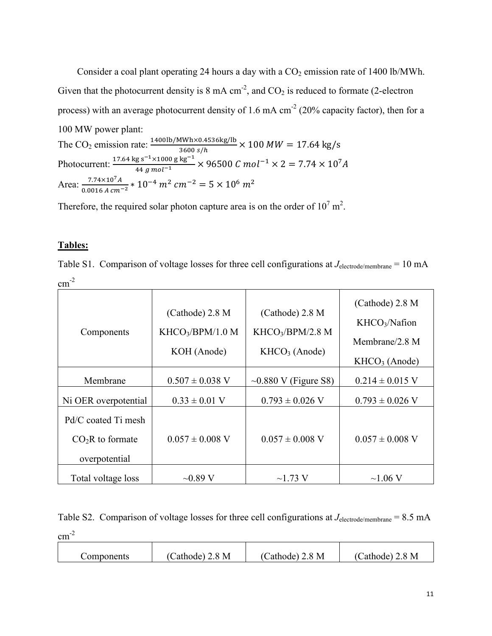Consider a coal plant operating 24 hours a day with a  $CO<sub>2</sub>$  emission rate of 1400 lb/MWh. Given that the photocurrent density is  $8 \text{ mA cm}^{-2}$ , and  $CO_2$  is reduced to formate (2-electron process) with an average photocurrent density of 1.6 mA  $cm<sup>2</sup>$  (20% capacity factor), then for a 100 MW power plant: The CO<sub>2</sub> emission rate:  $\frac{1400 \text{ lb} / \text{MWh} \times 0.4536 \text{ kg/lb}}{3600 \text{ s/h}} \times 100 \text{ MW} = 17.64 \text{ kg/s}$ Photocurrent:  $\frac{17.64 \text{ kg s}^{-1} \times 1000 \text{ g kg}^{-1}}{44 \text{ g mol}^{-1}}$   $\times$  96500 C mol<sup>-1</sup>  $\times$  2 = 7.74  $\times$  10<sup>7</sup>A Area:  $\frac{7.74 \times 10^{7} A}{0.0016 A cm^{-2}} * 10^{-4} m^{2} cm^{-2} = 5 \times 10^{6} m^{2}$ 

Therefore, the required solar photon capture area is on the order of  $10^7$  m<sup>2</sup>.

#### **Tables:**

Table S1. Comparison of voltage losses for three cell configurations at *J*<sub>electrode/membrane</sub> = 10 mA  $cm^{-2}$ 

| Components                                                | $(Cathode)$ 2.8 M<br>KHCO <sub>3</sub> /BPM/1.0 M<br>KOH (Anode) | $(Cathode)$ 2.8 M<br>KHCO <sub>3</sub> /BPM/2.8 M<br>$KHCO3$ (Anode) | $(Cathode)$ 2.8 M<br>KHCO <sub>3</sub> /Nafion<br>Membrane/2.8 $M$<br>$KHCO3$ (Anode) |
|-----------------------------------------------------------|------------------------------------------------------------------|----------------------------------------------------------------------|---------------------------------------------------------------------------------------|
| Membrane                                                  | $0.507 \pm 0.038$ V                                              | $\sim 0.880$ V (Figure S8)                                           | $0.214 \pm 0.015$ V                                                                   |
| Ni OER overpotential                                      | $0.33 \pm 0.01$ V                                                | $0.793 \pm 0.026$ V                                                  | $0.793 \pm 0.026$ V                                                                   |
| Pd/C coated Ti mesh<br>$CO2R$ to formate<br>overpotential | $0.057 \pm 0.008$ V                                              | $0.057 \pm 0.008$ V                                                  | $0.057 \pm 0.008$ V                                                                   |
| Total voltage loss                                        | $\sim 0.89$ V                                                    | $\sim$ 1.73 V                                                        | $\sim$ 1.06 V                                                                         |

Table S2. Comparison of voltage losses for three cell configurations at  $J_{\text{electrode/membrane}} = 8.5 \text{ mA}$  $cm^{-2}$ 

| .8 M<br>M<br>M<br>$\mathcal{R}$<br>$\mathsf{Cathode})$<br>-.8 '<br>Cathode)<br>Components<br>cathode) |  |  |  |
|-------------------------------------------------------------------------------------------------------|--|--|--|
|-------------------------------------------------------------------------------------------------------|--|--|--|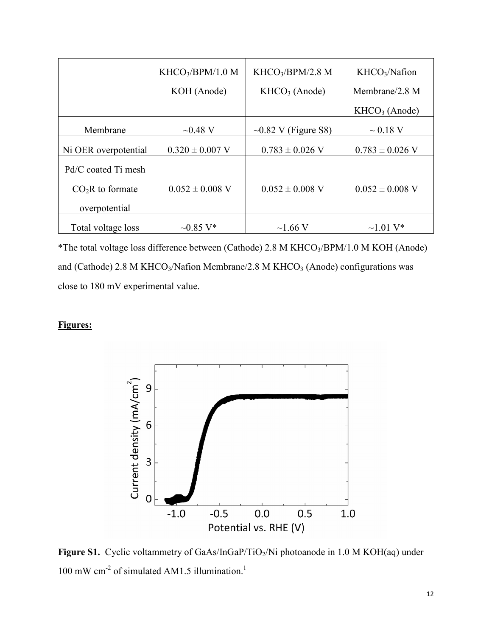|                                                           | KHCO <sub>3</sub> /BPM/1.0 M | KHCO <sub>3</sub> /BPM/2.8 M | KHCO <sub>3</sub> /Nafion |
|-----------------------------------------------------------|------------------------------|------------------------------|---------------------------|
|                                                           | KOH (Anode)                  | $KHCO3$ (Anode)              | Membrane/ $2.8$ M         |
|                                                           |                              |                              | $KHCO3$ (Anode)           |
| Membrane                                                  | $-0.48$ V                    | $\sim 0.82$ V (Figure S8)    | $\sim 0.18$ V             |
| Ni OER overpotential                                      | $0.320 \pm 0.007$ V          | $0.783 \pm 0.026$ V          | $0.783 \pm 0.026$ V       |
| Pd/C coated Ti mesh<br>$CO2R$ to formate<br>overpotential | $0.052 \pm 0.008$ V          | $0.052 \pm 0.008$ V          | $0.052 \pm 0.008$ V       |
| Total voltage loss                                        | $-0.85$ V*                   | $\sim$ 1.66 V                | $\sim$ 1 01 V*            |

\*The total voltage loss difference between (Cathode) 2.8 M KHCO3/BPM/1.0 M KOH (Anode) and (Cathode) 2.8 M KHCO<sub>3</sub>/Nafion Membrane/2.8 M KHCO<sub>3</sub> (Anode) configurations was close to 180 mV experimental value.

## **Figures:**



Figure S1. Cyclic voltammetry of GaAs/InGaP/TiO<sub>2</sub>/Ni photoanode in 1.0 M KOH(aq) under 100 mW cm<sup>-2</sup> of simulated AM1.5 illumination.<sup>1</sup>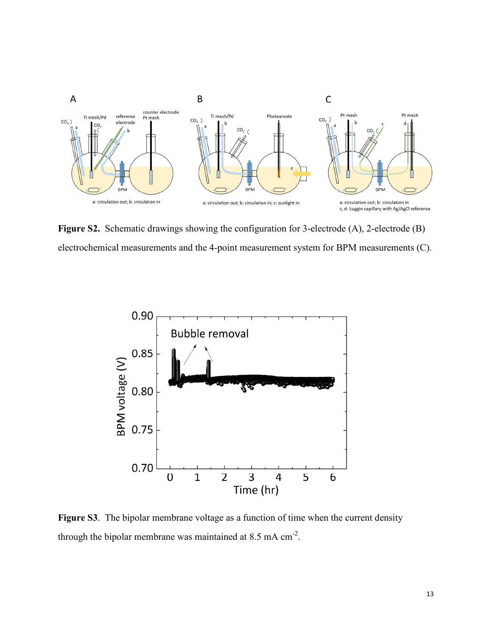

**Figure S2.** Schematic drawings showing the configuration for 3-electrode (A), 2-electrode (B) electrochemical measurements and the 4-point measurement system for BPM measurements (C).



Figure S3. The bipolar membrane voltage as a function of time when the current density through the bipolar membrane was maintained at  $8.5$  mA cm<sup>-2</sup>.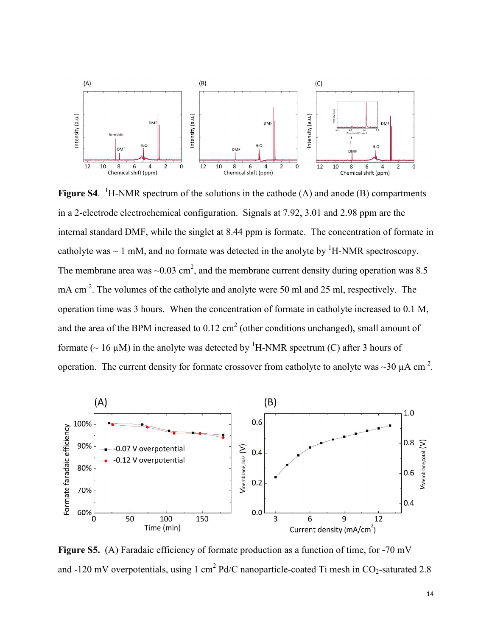

Figure S4. <sup>1</sup>H-NMR spectrum of the solutions in the cathode (A) and anode (B) compartments in a 2-electrode electrochemical configuration. Signals at 7.92, 3.01 and 2.98 ppm are the internal standard DMF, while the singlet at 8.44 ppm is formate. The concentration of formate in catholyte was  $\sim 1$  mM, and no formate was detected in the anolyte by <sup>1</sup>H-NMR spectroscopy. The membrane area was  $\sim 0.03$  cm<sup>2</sup>, and the membrane current density during operation was 8.5 mA cm<sup>-2</sup>. The volumes of the catholyte and anolyte were 50 ml and 25 ml, respectively. The operation time was 3 hours. When the concentration of formate in catholyte increased to 0.1 M, and the area of the BPM increased to  $0.12 \text{ cm}^2$  (other conditions unchanged), small amount of formate ( $\sim 16$  µM) in the anolyte was detected by <sup>1</sup>H-NMR spectrum (C) after 3 hours of operation. The current density for formate crossover from catholyte to anolyte was  $\sim$ 30  $\mu$ A cm<sup>-2</sup>.



Figure S5. (A) Faradaic efficiency of formate production as a function of time, for -70 mV and -120 mV overpotentials, using 1 cm<sup>2</sup> Pd/C nanoparticle-coated Ti mesh in  $CO_2$ -saturated 2.8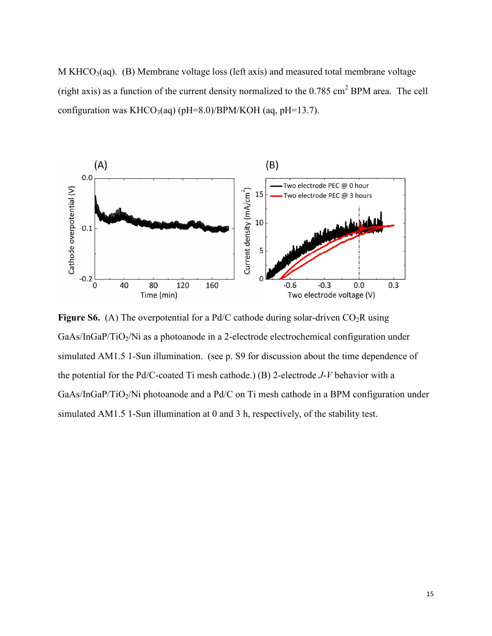M KHCO<sub>3</sub>(aq). (B) Membrane voltage loss (left axis) and measured total membrane voltage (right axis) as a function of the current density normalized to the  $0.785 \text{ cm}^2$  BPM area. The cell configuration was KHCO<sub>3</sub>(aq) (pH=8.0)/BPM/KOH (aq, pH=13.7).



**Figure S6.** (A) The overpotential for a Pd/C cathode during solar-driven  $CO<sub>2</sub>R$  using GaAs/InGaP/TiO<sub>2</sub>/Ni as a photoanode in a 2-electrode electrochemical configuration under simulated AM1.5 1-Sun illumination. (see p. S9 for discussion about the time dependence of the potential for the Pd/C-coated Ti mesh cathode.) (B) 2-electrode *J*-*V* behavior with a GaAs/InGaP/TiO<sub>2</sub>/Ni photoanode and a Pd/C on Ti mesh cathode in a BPM configuration under simulated AM1.5 1-Sun illumination at 0 and 3 h, respectively, of the stability test.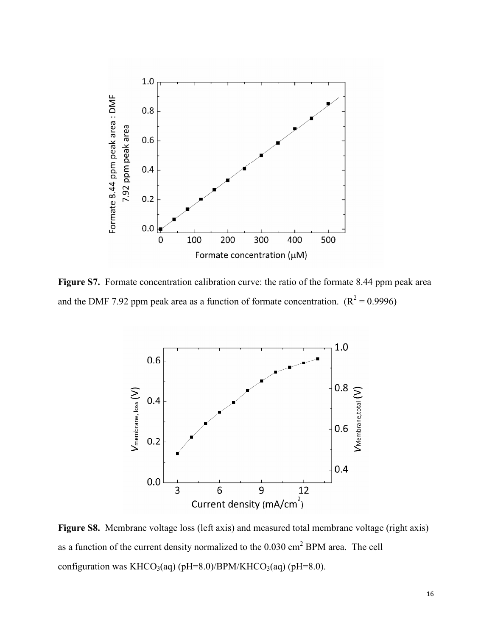

Figure S7. Formate concentration calibration curve: the ratio of the formate 8.44 ppm peak area and the DMF 7.92 ppm peak area as a function of formate concentration.  $(R^2 = 0.9996)$ 



Figure S8. Membrane voltage loss (left axis) and measured total membrane voltage (right axis) as a function of the current density normalized to the  $0.030 \text{ cm}^2$  BPM area. The cell configuration was KHCO<sub>3</sub>(aq) (pH=8.0)/BPM/KHCO<sub>3</sub>(aq) (pH=8.0).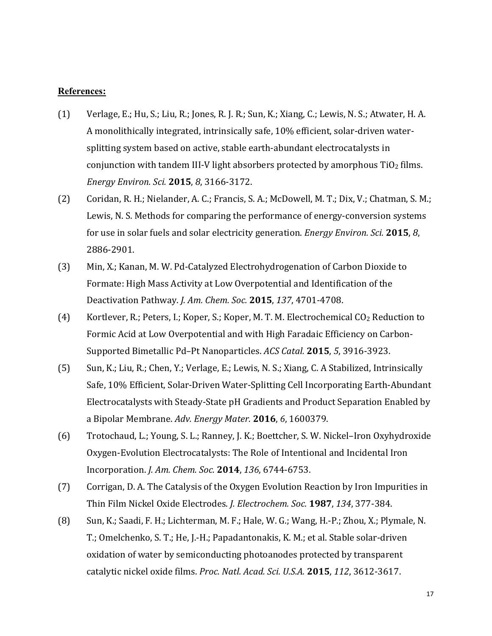#### **References:**

- (1) Verlage, E.; Hu, S.; Liu, R.; Jones, R. J. R.; Sun, K.; Xiang, C.; Lewis, N. S.; Atwater, H. A. A monolithically integrated, intrinsically safe, 10% efficient, solar-driven watersplitting system based on active, stable earth-abundant electrocatalysts in conjunction with tandem III-V light absorbers protected by amorphous  $TiO<sub>2</sub>$  films. *Energy Environ. Sci.* **2015**, *8*, 3166-3172.
- (2) Coridan, R. H.; Nielander, A. C.; Francis, S. A.; McDowell, M. T.; Dix, V.; Chatman, S. M.; Lewis, N. S. Methods for comparing the performance of energy-conversion systems for use in solar fuels and solar electricity generation. *Energy Environ. Sci.* **2015**, *8*, 2886-2901.
- (3) Min, X.; Kanan, M. W. Pd-Catalyzed Electrohydrogenation of Carbon Dioxide to Formate: High Mass Activity at Low Overpotential and Identification of the Deactivation Pathway. *J. Am. Chem. Soc.* **2015**, *137*, 4701-4708.
- (4) Kortlever, R.; Peters, I.; Koper, S.; Koper, M. T. M. Electrochemical CO2 Reduction to Formic Acid at Low Overpotential and with High Faradaic Efficiency on Carbon-Supported Bimetallic Pd–Pt Nanoparticles. *ACS Catal.* **2015**, *5*, 3916-3923.
- (5) Sun, K.; Liu, R.; Chen, Y.; Verlage, E.; Lewis, N. S.; Xiang, C. A Stabilized, Intrinsically Safe, 10% Efficient, Solar-Driven Water-Splitting Cell Incorporating Earth-Abundant Electrocatalysts with Steady-State pH Gradients and Product Separation Enabled by a Bipolar Membrane. *Adv. Energy Mater.* **2016**, *6*, 1600379.
- (6) Trotochaud, L.; Young, S. L.; Ranney, J. K.; Boettcher, S. W. Nickel–Iron Oxyhydroxide Oxygen-Evolution Electrocatalysts: The Role of Intentional and Incidental Iron Incorporation. *J. Am. Chem. Soc.* **2014**, *136*, 6744-6753.
- (7) Corrigan, D. A. The Catalysis of the Oxygen Evolution Reaction by Iron Impurities in Thin Film Nickel Oxide Electrodes. *J. Electrochem. Soc.* **1987**, *134*, 377-384.
- (8) Sun, K.; Saadi, F. H.; Lichterman, M. F.; Hale, W. G.; Wang, H.-P.; Zhou, X.; Plymale, N. T.; Omelchenko, S. T.; He, J.-H.; Papadantonakis, K. M.; et al. Stable solar-driven oxidation of water by semiconducting photoanodes protected by transparent catalytic nickel oxide films. *Proc. Natl. Acad. Sci. U.S.A.* **2015**, *112*, 3612-3617.